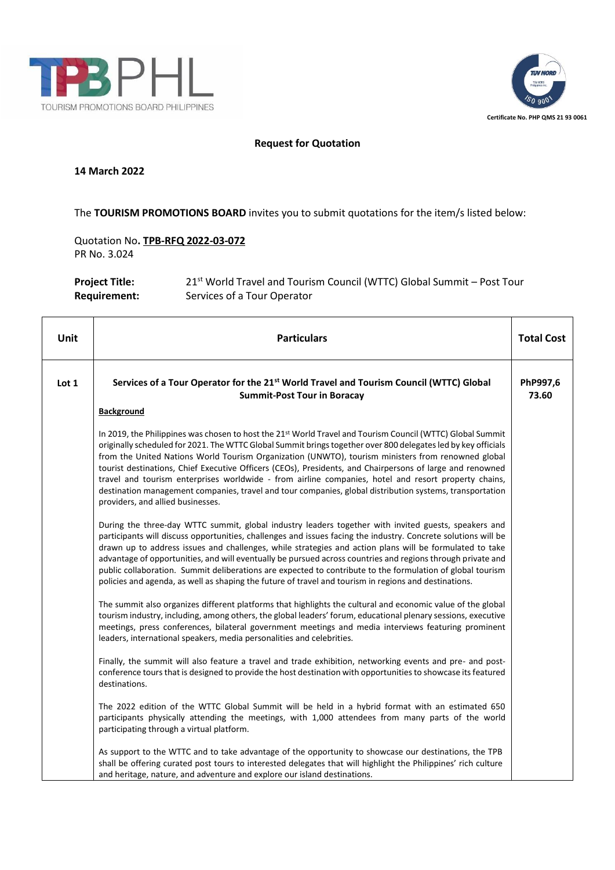



# **Request for Quotation**

## **14 March 2022**

# The **TOURISM PROMOTIONS BOARD** invites you to submit quotations for the item/s listed below:

Quotation No**. TPB-RFQ 2022-03-072** PR No. 3.024

**Project Title:** 21<sup>st</sup> World Travel and Tourism Council (WTTC) Global Summit – Post Tour **Requirement:** Services of a Tour Operator

| Unit  | <b>Particulars</b>                                                                                                                                                                                                                                                                                                                                                                                                                                                                                                                                                                                                                                                                                      | <b>Total Cost</b> |
|-------|---------------------------------------------------------------------------------------------------------------------------------------------------------------------------------------------------------------------------------------------------------------------------------------------------------------------------------------------------------------------------------------------------------------------------------------------------------------------------------------------------------------------------------------------------------------------------------------------------------------------------------------------------------------------------------------------------------|-------------------|
| Lot 1 | Services of a Tour Operator for the 21 <sup>st</sup> World Travel and Tourism Council (WTTC) Global<br><b>Summit-Post Tour in Boracay</b>                                                                                                                                                                                                                                                                                                                                                                                                                                                                                                                                                               | PhP997,6<br>73.60 |
|       | <b>Background</b>                                                                                                                                                                                                                                                                                                                                                                                                                                                                                                                                                                                                                                                                                       |                   |
|       | In 2019, the Philippines was chosen to host the 21st World Travel and Tourism Council (WTTC) Global Summit<br>originally scheduled for 2021. The WTTC Global Summit brings together over 800 delegates led by key officials<br>from the United Nations World Tourism Organization (UNWTO), tourism ministers from renowned global<br>tourist destinations, Chief Executive Officers (CEOs), Presidents, and Chairpersons of large and renowned<br>travel and tourism enterprises worldwide - from airline companies, hotel and resort property chains,<br>destination management companies, travel and tour companies, global distribution systems, transportation<br>providers, and allied businesses. |                   |
|       | During the three-day WTTC summit, global industry leaders together with invited guests, speakers and<br>participants will discuss opportunities, challenges and issues facing the industry. Concrete solutions will be<br>drawn up to address issues and challenges, while strategies and action plans will be formulated to take<br>advantage of opportunities, and will eventually be pursued across countries and regions through private and<br>public collaboration. Summit deliberations are expected to contribute to the formulation of global tourism<br>policies and agenda, as well as shaping the future of travel and tourism in regions and destinations.                                 |                   |
|       | The summit also organizes different platforms that highlights the cultural and economic value of the global<br>tourism industry, including, among others, the global leaders' forum, educational plenary sessions, executive<br>meetings, press conferences, bilateral government meetings and media interviews featuring prominent<br>leaders, international speakers, media personalities and celebrities.                                                                                                                                                                                                                                                                                            |                   |
|       | Finally, the summit will also feature a travel and trade exhibition, networking events and pre- and post-<br>conference tours that is designed to provide the host destination with opportunities to showcase its featured<br>destinations.                                                                                                                                                                                                                                                                                                                                                                                                                                                             |                   |
|       | The 2022 edition of the WTTC Global Summit will be held in a hybrid format with an estimated 650<br>participants physically attending the meetings, with 1,000 attendees from many parts of the world<br>participating through a virtual platform.                                                                                                                                                                                                                                                                                                                                                                                                                                                      |                   |
|       | As support to the WTTC and to take advantage of the opportunity to showcase our destinations, the TPB<br>shall be offering curated post tours to interested delegates that will highlight the Philippines' rich culture<br>and heritage, nature, and adventure and explore our island destinations.                                                                                                                                                                                                                                                                                                                                                                                                     |                   |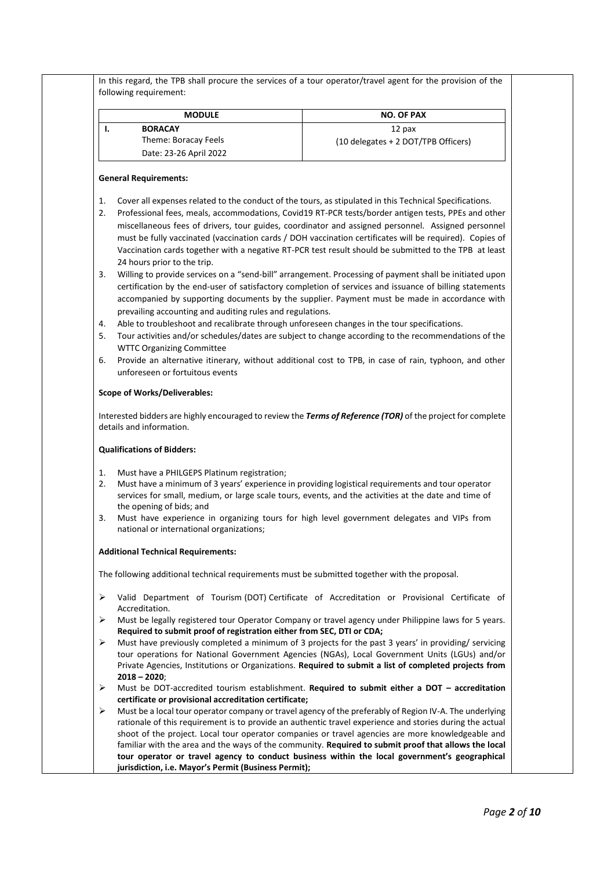In this regard, the TPB shall procure the services of a tour operator/travel agent for the provision of the following requirement:

| <b>MODULE</b> |                        | <b>NO. OF PAX</b>                   |
|---------------|------------------------|-------------------------------------|
|               | <b>BORACAY</b>         | $12$ pax                            |
|               | Theme: Boracay Feels   | (10 delegates + 2 DOT/TPB Officers) |
|               | Date: 23-26 April 2022 |                                     |

#### **General Requirements:**

- 1. Cover all expenses related to the conduct of the tours, as stipulated in this Technical Specifications.
- 2. Professional fees, meals, accommodations, Covid19 RT-PCR tests/border antigen tests, PPEs and other miscellaneous fees of drivers, tour guides, coordinator and assigned personnel. Assigned personnel must be fully vaccinated (vaccination cards / DOH vaccination certificates will be required). Copies of Vaccination cards together with a negative RT-PCR test result should be submitted to the TPB at least 24 hours prior to the trip.
- 3. Willing to provide services on a "send-bill" arrangement. Processing of payment shall be initiated upon certification by the end-user of satisfactory completion of services and issuance of billing statements accompanied by supporting documents by the supplier. Payment must be made in accordance with prevailing accounting and auditing rules and regulations.
- 4. Able to troubleshoot and recalibrate through unforeseen changes in the tour specifications.
- 5. Tour activities and/or schedules/dates are subject to change according to the recommendations of the WTTC Organizing Committee
- 6. Provide an alternative itinerary, without additional cost to TPB, in case of rain, typhoon, and other unforeseen or fortuitous events

#### **Scope of Works/Deliverables:**

Interested bidders are highly encouraged to review the *Terms of Reference (TOR)* of the project for complete details and information.

#### **Qualifications of Bidders:**

- 1. Must have a PHILGEPS Platinum registration;
- 2. Must have a minimum of 3 years' experience in providing logistical requirements and tour operator services for small, medium, or large scale tours, events, and the activities at the date and time of the opening of bids; and
- 3. Must have experience in organizing tours for high level government delegates and VIPs from national or international organizations;

#### **Additional Technical Requirements:**

The following additional technical requirements must be submitted together with the proposal.

- ➢ Valid Department of Tourism (DOT) Certificate of Accreditation or Provisional Certificate of Accreditation.
- ➢ Must be legally registered tour Operator Company or travel agency under Philippine laws for 5 years. **Required to submit proof of registration either from SEC, DTI or CDA;**
- $\triangleright$  Must have previously completed a minimum of 3 projects for the past 3 years' in providing/ servicing tour operations for National Government Agencies (NGAs), Local Government Units (LGUs) and/or Private Agencies, Institutions or Organizations. **Required to submit a list of completed projects from 2018 – 2020**;
- ➢ Must be DOT-accredited tourism establishment. **Required to submit either a DOT – accreditation certificate or provisional accreditation certificate;**
- ➢ Must be a local tour operator company or travel agency of the preferably of Region IV-A. The underlying rationale of this requirement is to provide an authentic travel experience and stories during the actual shoot of the project. Local tour operator companies or travel agencies are more knowledgeable and familiar with the area and the ways of the community. **Required to submit proof that allows the local tour operator or travel agency to conduct business within the local government's geographical jurisdiction, i.e. Mayor's Permit (Business Permit);**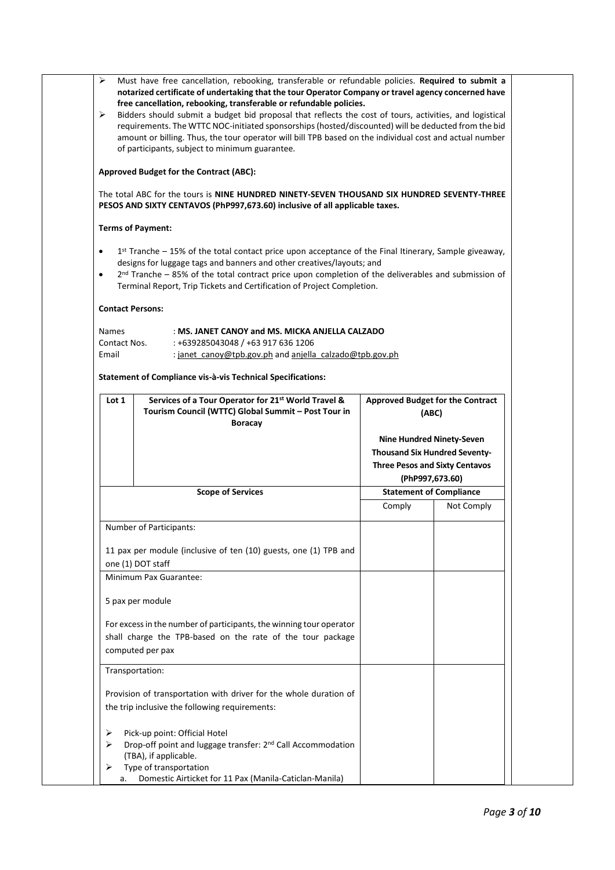| ⋗                                     |                                                                                                                                                                                                                                                                                                                                                                                                                                                                                                                                                                                                                                                               |        |                                                                                                                                      |  |
|---------------------------------------|---------------------------------------------------------------------------------------------------------------------------------------------------------------------------------------------------------------------------------------------------------------------------------------------------------------------------------------------------------------------------------------------------------------------------------------------------------------------------------------------------------------------------------------------------------------------------------------------------------------------------------------------------------------|--------|--------------------------------------------------------------------------------------------------------------------------------------|--|
| ➤                                     | Must have free cancellation, rebooking, transferable or refundable policies. Required to submit a<br>notarized certificate of undertaking that the tour Operator Company or travel agency concerned have<br>free cancellation, rebooking, transferable or refundable policies.<br>Bidders should submit a budget bid proposal that reflects the cost of tours, activities, and logistical<br>requirements. The WTTC NOC-initiated sponsorships (hosted/discounted) will be deducted from the bid<br>amount or billing. Thus, the tour operator will bill TPB based on the individual cost and actual number<br>of participants, subject to minimum guarantee. |        |                                                                                                                                      |  |
|                                       | <b>Approved Budget for the Contract (ABC):</b>                                                                                                                                                                                                                                                                                                                                                                                                                                                                                                                                                                                                                |        |                                                                                                                                      |  |
|                                       | The total ABC for the tours is NINE HUNDRED NINETY-SEVEN THOUSAND SIX HUNDRED SEVENTY-THREE<br>PESOS AND SIXTY CENTAVOS (PhP997,673.60) inclusive of all applicable taxes.                                                                                                                                                                                                                                                                                                                                                                                                                                                                                    |        |                                                                                                                                      |  |
|                                       | <b>Terms of Payment:</b>                                                                                                                                                                                                                                                                                                                                                                                                                                                                                                                                                                                                                                      |        |                                                                                                                                      |  |
| $\bullet$<br>$\bullet$                | $1st$ Tranche – 15% of the total contact price upon acceptance of the Final Itinerary, Sample giveaway,<br>designs for luggage tags and banners and other creatives/layouts; and<br>$2nd$ Tranche – 85% of the total contract price upon completion of the deliverables and submission of<br>Terminal Report, Trip Tickets and Certification of Project Completion.                                                                                                                                                                                                                                                                                           |        |                                                                                                                                      |  |
|                                       | <b>Contact Persons:</b>                                                                                                                                                                                                                                                                                                                                                                                                                                                                                                                                                                                                                                       |        |                                                                                                                                      |  |
| <b>Names</b><br>Contact Nos.<br>Email | : MS. JANET CANOY and MS. MICKA ANJELLA CALZADO<br>: +639285043048 / +63 917 636 1206<br>: janet_canoy@tpb.gov.ph and anjella_calzado@tpb.gov.ph                                                                                                                                                                                                                                                                                                                                                                                                                                                                                                              |        |                                                                                                                                      |  |
|                                       | Statement of Compliance vis-à-vis Technical Specifications:                                                                                                                                                                                                                                                                                                                                                                                                                                                                                                                                                                                                   |        |                                                                                                                                      |  |
| Lot $1$                               | Services of a Tour Operator for 21st World Travel &                                                                                                                                                                                                                                                                                                                                                                                                                                                                                                                                                                                                           |        | <b>Approved Budget for the Contract</b>                                                                                              |  |
|                                       | Tourism Council (WTTC) Global Summit - Post Tour in<br><b>Boracay</b>                                                                                                                                                                                                                                                                                                                                                                                                                                                                                                                                                                                         |        | (ABC)                                                                                                                                |  |
|                                       |                                                                                                                                                                                                                                                                                                                                                                                                                                                                                                                                                                                                                                                               |        | <b>Nine Hundred Ninety-Seven</b><br><b>Thousand Six Hundred Seventy-</b><br><b>Three Pesos and Sixty Centavos</b><br>(PhP997,673.60) |  |
|                                       |                                                                                                                                                                                                                                                                                                                                                                                                                                                                                                                                                                                                                                                               |        | <b>Statement of Compliance</b>                                                                                                       |  |
|                                       | <b>Scope of Services</b>                                                                                                                                                                                                                                                                                                                                                                                                                                                                                                                                                                                                                                      |        |                                                                                                                                      |  |
|                                       |                                                                                                                                                                                                                                                                                                                                                                                                                                                                                                                                                                                                                                                               | Comply | Not Comply                                                                                                                           |  |
|                                       | Number of Participants:                                                                                                                                                                                                                                                                                                                                                                                                                                                                                                                                                                                                                                       |        |                                                                                                                                      |  |
|                                       | 11 pax per module (inclusive of ten (10) guests, one (1) TPB and<br>one (1) DOT staff                                                                                                                                                                                                                                                                                                                                                                                                                                                                                                                                                                         |        |                                                                                                                                      |  |
|                                       | Minimum Pax Guarantee:                                                                                                                                                                                                                                                                                                                                                                                                                                                                                                                                                                                                                                        |        |                                                                                                                                      |  |
|                                       | 5 pax per module                                                                                                                                                                                                                                                                                                                                                                                                                                                                                                                                                                                                                                              |        |                                                                                                                                      |  |
|                                       | For excess in the number of participants, the winning tour operator<br>shall charge the TPB-based on the rate of the tour package<br>computed per pax                                                                                                                                                                                                                                                                                                                                                                                                                                                                                                         |        |                                                                                                                                      |  |
|                                       | Transportation:                                                                                                                                                                                                                                                                                                                                                                                                                                                                                                                                                                                                                                               |        |                                                                                                                                      |  |
|                                       | Provision of transportation with driver for the whole duration of<br>the trip inclusive the following requirements:                                                                                                                                                                                                                                                                                                                                                                                                                                                                                                                                           |        |                                                                                                                                      |  |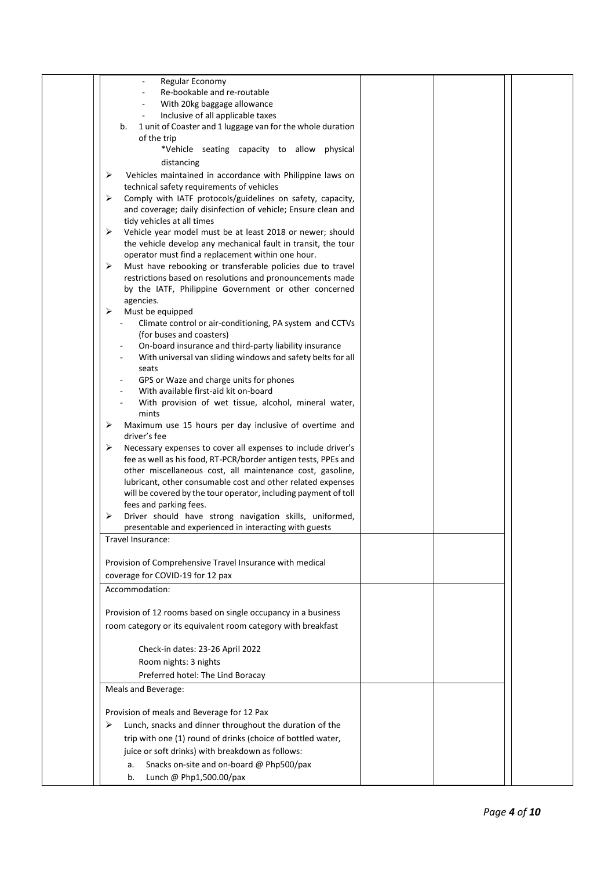| Regular Economy<br>$\overline{\phantom{a}}$                       |  |
|-------------------------------------------------------------------|--|
| Re-bookable and re-routable                                       |  |
| With 20kg baggage allowance                                       |  |
| Inclusive of all applicable taxes                                 |  |
| 1 unit of Coaster and 1 luggage van for the whole duration<br>b.  |  |
| of the trip                                                       |  |
| *Vehicle seating capacity to allow physical                       |  |
| distancing                                                        |  |
| Vehicles maintained in accordance with Philippine laws on<br>➤    |  |
| technical safety requirements of vehicles                         |  |
| ➤<br>Comply with IATF protocols/guidelines on safety, capacity,   |  |
| and coverage; daily disinfection of vehicle; Ensure clean and     |  |
| tidy vehicles at all times                                        |  |
| ➤<br>Vehicle year model must be at least 2018 or newer; should    |  |
| the vehicle develop any mechanical fault in transit, the tour     |  |
| operator must find a replacement within one hour.                 |  |
| ➤<br>Must have rebooking or transferable policies due to travel   |  |
| restrictions based on resolutions and pronouncements made         |  |
| by the IATF, Philippine Government or other concerned             |  |
| agencies.                                                         |  |
| ➤<br>Must be equipped                                             |  |
| Climate control or air-conditioning, PA system and CCTVs          |  |
| (for buses and coasters)                                          |  |
| On-board insurance and third-party liability insurance            |  |
| With universal van sliding windows and safety belts for all       |  |
| seats                                                             |  |
| GPS or Waze and charge units for phones                           |  |
| With available first-aid kit on-board                             |  |
| With provision of wet tissue, alcohol, mineral water,             |  |
| mints                                                             |  |
| Maximum use 15 hours per day inclusive of overtime and<br>➤       |  |
| driver's fee                                                      |  |
| ➤<br>Necessary expenses to cover all expenses to include driver's |  |
| fee as well as his food, RT-PCR/border antigen tests, PPEs and    |  |
| other miscellaneous cost, all maintenance cost, gasoline,         |  |
| lubricant, other consumable cost and other related expenses       |  |
| will be covered by the tour operator, including payment of toll   |  |
| fees and parking fees.                                            |  |
| ➤<br>Driver should have strong navigation skills, uniformed,      |  |
| presentable and experienced in interacting with guests            |  |
| Travel Insurance:                                                 |  |
|                                                                   |  |
| Provision of Comprehensive Travel Insurance with medical          |  |
| coverage for COVID-19 for 12 pax                                  |  |
| Accommodation:                                                    |  |
|                                                                   |  |
| Provision of 12 rooms based on single occupancy in a business     |  |
| room category or its equivalent room category with breakfast      |  |
|                                                                   |  |
| Check-in dates: 23-26 April 2022                                  |  |
| Room nights: 3 nights                                             |  |
|                                                                   |  |
| Preferred hotel: The Lind Boracay                                 |  |
| Meals and Beverage:                                               |  |
| Provision of meals and Beverage for 12 Pax                        |  |
| Lunch, snacks and dinner throughout the duration of the<br>➤      |  |
| trip with one (1) round of drinks (choice of bottled water,       |  |
| juice or soft drinks) with breakdown as follows:                  |  |
| Snacks on-site and on-board @ Php500/pax<br>a.                    |  |
| Lunch @ Php1,500.00/pax<br>b.                                     |  |
|                                                                   |  |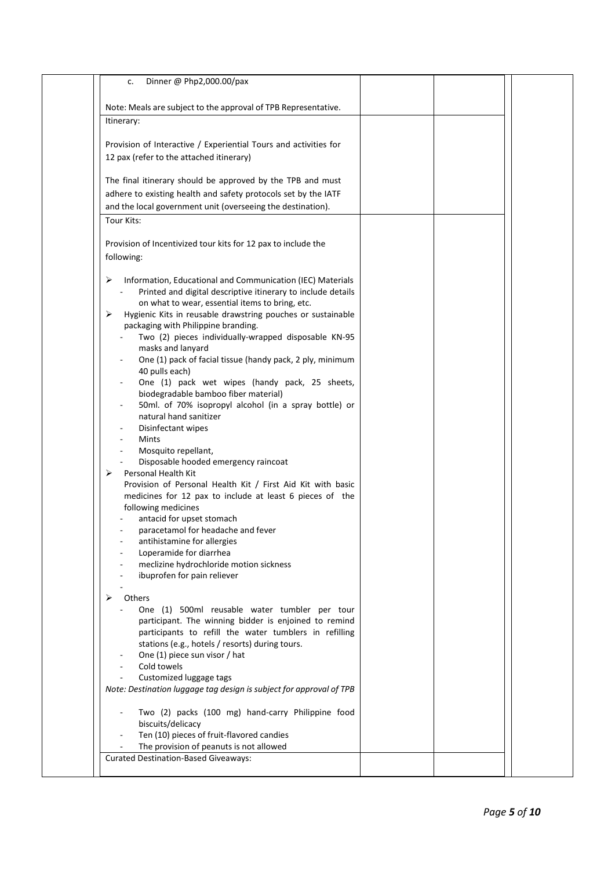| Dinner @ Php2,000.00/pax<br>c.                                                                                          |  |  |
|-------------------------------------------------------------------------------------------------------------------------|--|--|
|                                                                                                                         |  |  |
| Note: Meals are subject to the approval of TPB Representative.                                                          |  |  |
| Itinerary:                                                                                                              |  |  |
| Provision of Interactive / Experiential Tours and activities for                                                        |  |  |
| 12 pax (refer to the attached itinerary)                                                                                |  |  |
| The final itinerary should be approved by the TPB and must                                                              |  |  |
| adhere to existing health and safety protocols set by the IATF                                                          |  |  |
| and the local government unit (overseeing the destination).                                                             |  |  |
| Tour Kits:                                                                                                              |  |  |
| Provision of Incentivized tour kits for 12 pax to include the                                                           |  |  |
| following:                                                                                                              |  |  |
|                                                                                                                         |  |  |
| Information, Educational and Communication (IEC) Materials<br>➤                                                         |  |  |
| Printed and digital descriptive itinerary to include details<br>on what to wear, essential items to bring, etc.         |  |  |
| Hygienic Kits in reusable drawstring pouches or sustainable<br>➤                                                        |  |  |
| packaging with Philippine branding.                                                                                     |  |  |
| Two (2) pieces individually-wrapped disposable KN-95<br>masks and lanyard                                               |  |  |
| One (1) pack of facial tissue (handy pack, 2 ply, minimum<br>$\overline{\phantom{a}}$                                   |  |  |
| 40 pulls each)                                                                                                          |  |  |
| One (1) pack wet wipes (handy pack, 25 sheets,                                                                          |  |  |
| biodegradable bamboo fiber material)<br>50ml. of 70% isopropyl alcohol (in a spray bottle) or                           |  |  |
| natural hand sanitizer                                                                                                  |  |  |
| Disinfectant wipes                                                                                                      |  |  |
| Mints<br>Mosquito repellant,                                                                                            |  |  |
| Disposable hooded emergency raincoat                                                                                    |  |  |
| Personal Health Kit<br>➤                                                                                                |  |  |
| Provision of Personal Health Kit / First Aid Kit with basic<br>medicines for 12 pax to include at least 6 pieces of the |  |  |
| following medicines                                                                                                     |  |  |
| antacid for upset stomach                                                                                               |  |  |
| paracetamol for headache and fever                                                                                      |  |  |
| antihistamine for allergies<br>Loperamide for diarrhea                                                                  |  |  |
| meclizine hydrochloride motion sickness                                                                                 |  |  |
| ibuprofen for pain reliever                                                                                             |  |  |
|                                                                                                                         |  |  |
| ➤<br>Others<br>One (1) 500ml reusable water tumbler per tour                                                            |  |  |
| participant. The winning bidder is enjoined to remind                                                                   |  |  |
| participants to refill the water tumblers in refilling                                                                  |  |  |
| stations (e.g., hotels / resorts) during tours.                                                                         |  |  |
| One (1) piece sun visor / hat<br>Cold towels                                                                            |  |  |
| Customized luggage tags                                                                                                 |  |  |
| Note: Destination luggage tag design is subject for approval of TPB                                                     |  |  |
| Two (2) packs (100 mg) hand-carry Philippine food                                                                       |  |  |
| biscuits/delicacy                                                                                                       |  |  |
| Ten (10) pieces of fruit-flavored candies                                                                               |  |  |
| The provision of peanuts is not allowed<br><b>Curated Destination-Based Giveaways:</b>                                  |  |  |
|                                                                                                                         |  |  |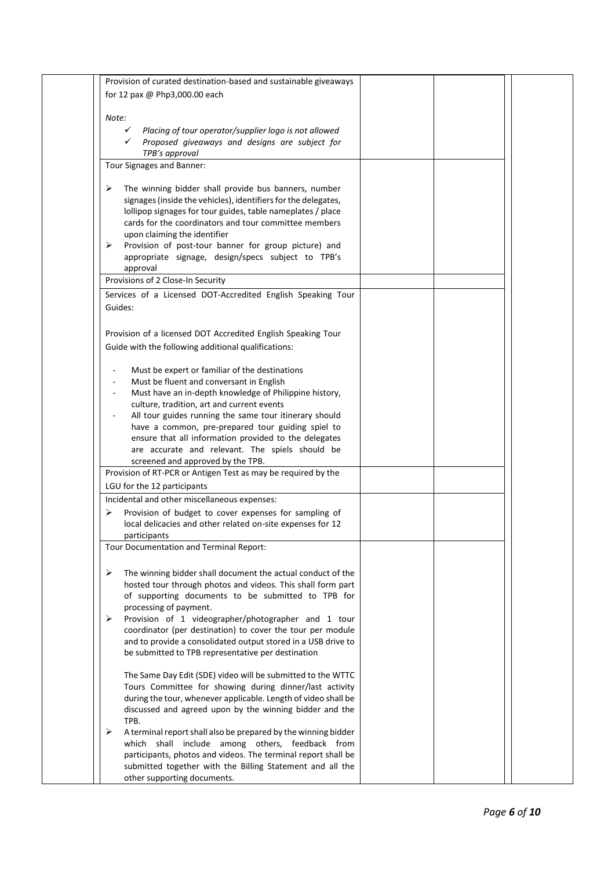| Provision of curated destination-based and sustainable giveaways                                   |  |  |
|----------------------------------------------------------------------------------------------------|--|--|
| for 12 pax @ Php3,000.00 each                                                                      |  |  |
|                                                                                                    |  |  |
| Note:                                                                                              |  |  |
| ✓<br>Placing of tour operator/supplier logo is not allowed                                         |  |  |
| Proposed giveaways and designs are subject for                                                     |  |  |
| TPB's approval                                                                                     |  |  |
| Tour Signages and Banner:                                                                          |  |  |
| $\blacktriangleright$<br>The winning bidder shall provide bus banners, number                      |  |  |
| signages (inside the vehicles), identifiers for the delegates,                                     |  |  |
| lollipop signages for tour guides, table nameplates / place                                        |  |  |
| cards for the coordinators and tour committee members                                              |  |  |
| upon claiming the identifier                                                                       |  |  |
| ➤<br>Provision of post-tour banner for group picture) and                                          |  |  |
| appropriate signage, design/specs subject to TPB's                                                 |  |  |
| approval                                                                                           |  |  |
| Provisions of 2 Close-In Security                                                                  |  |  |
| Services of a Licensed DOT-Accredited English Speaking Tour                                        |  |  |
| Guides:                                                                                            |  |  |
|                                                                                                    |  |  |
| Provision of a licensed DOT Accredited English Speaking Tour                                       |  |  |
| Guide with the following additional qualifications:                                                |  |  |
|                                                                                                    |  |  |
| Must be expert or familiar of the destinations                                                     |  |  |
| Must be fluent and conversant in English<br>Must have an in-depth knowledge of Philippine history, |  |  |
| culture, tradition, art and current events                                                         |  |  |
| All tour guides running the same tour itinerary should<br>$\overline{\phantom{a}}$                 |  |  |
| have a common, pre-prepared tour guiding spiel to                                                  |  |  |
| ensure that all information provided to the delegates                                              |  |  |
| are accurate and relevant. The spiels should be                                                    |  |  |
| screened and approved by the TPB.                                                                  |  |  |
| Provision of RT-PCR or Antigen Test as may be required by the                                      |  |  |
| LGU for the 12 participants                                                                        |  |  |
| Incidental and other miscellaneous expenses:                                                       |  |  |
| Provision of budget to cover expenses for sampling of<br>➤                                         |  |  |
| local delicacies and other related on-site expenses for 12<br>participants                         |  |  |
| Tour Documentation and Terminal Report:                                                            |  |  |
|                                                                                                    |  |  |
| ➤<br>The winning bidder shall document the actual conduct of the                                   |  |  |
| hosted tour through photos and videos. This shall form part                                        |  |  |
| of supporting documents to be submitted to TPB for                                                 |  |  |
| processing of payment.                                                                             |  |  |
| Provision of 1 videographer/photographer and 1 tour<br>➤                                           |  |  |
| coordinator (per destination) to cover the tour per module                                         |  |  |
| and to provide a consolidated output stored in a USB drive to                                      |  |  |
| be submitted to TPB representative per destination                                                 |  |  |
| The Same Day Edit (SDE) video will be submitted to the WTTC                                        |  |  |
| Tours Committee for showing during dinner/last activity                                            |  |  |
| during the tour, whenever applicable. Length of video shall be                                     |  |  |
| discussed and agreed upon by the winning bidder and the                                            |  |  |
| TPB.                                                                                               |  |  |
| $\blacktriangleright$<br>A terminal report shall also be prepared by the winning bidder            |  |  |
| which shall include among others, feedback from                                                    |  |  |
| participants, photos and videos. The terminal report shall be                                      |  |  |
| submitted together with the Billing Statement and all the<br>other supporting documents.           |  |  |
|                                                                                                    |  |  |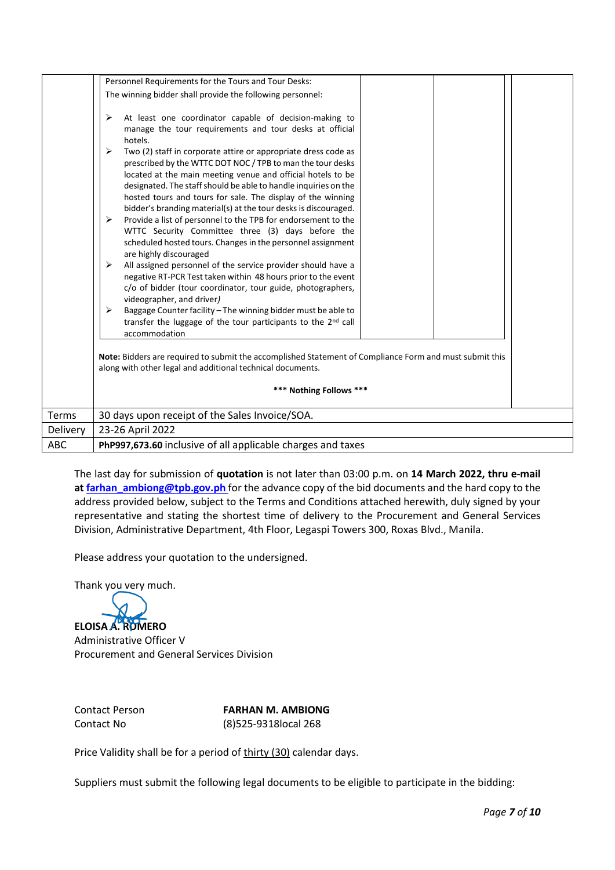|            | Personnel Requirements for the Tours and Tour Desks:                                                                                                                                                                                                                                                                                                                                                                                                                                                                                                                                                                                                                                                                                                                                                                                                                                                                                                                              |  |
|------------|-----------------------------------------------------------------------------------------------------------------------------------------------------------------------------------------------------------------------------------------------------------------------------------------------------------------------------------------------------------------------------------------------------------------------------------------------------------------------------------------------------------------------------------------------------------------------------------------------------------------------------------------------------------------------------------------------------------------------------------------------------------------------------------------------------------------------------------------------------------------------------------------------------------------------------------------------------------------------------------|--|
|            | The winning bidder shall provide the following personnel:                                                                                                                                                                                                                                                                                                                                                                                                                                                                                                                                                                                                                                                                                                                                                                                                                                                                                                                         |  |
|            | At least one coordinator capable of decision-making to<br>≻<br>manage the tour requirements and tour desks at official<br>hotels.<br>Two (2) staff in corporate attire or appropriate dress code as<br>prescribed by the WTTC DOT NOC / TPB to man the tour desks<br>located at the main meeting venue and official hotels to be<br>designated. The staff should be able to handle inquiries on the<br>hosted tours and tours for sale. The display of the winning<br>bidder's branding material(s) at the tour desks is discouraged.<br>Provide a list of personnel to the TPB for endorsement to the<br>WTTC Security Committee three (3) days before the<br>scheduled hosted tours. Changes in the personnel assignment<br>are highly discouraged<br>All assigned personnel of the service provider should have a<br>negative RT-PCR Test taken within 48 hours prior to the event<br>c/o of bidder (tour coordinator, tour guide, photographers,<br>videographer, and driver) |  |
|            | Baggage Counter facility - The winning bidder must be able to<br>≻<br>transfer the luggage of the tour participants to the 2 <sup>nd</sup> call<br>accommodation                                                                                                                                                                                                                                                                                                                                                                                                                                                                                                                                                                                                                                                                                                                                                                                                                  |  |
|            | Note: Bidders are required to submit the accomplished Statement of Compliance Form and must submit this<br>along with other legal and additional technical documents.<br>*** Nothing Follows ***                                                                                                                                                                                                                                                                                                                                                                                                                                                                                                                                                                                                                                                                                                                                                                                  |  |
|            |                                                                                                                                                                                                                                                                                                                                                                                                                                                                                                                                                                                                                                                                                                                                                                                                                                                                                                                                                                                   |  |
| Terms      | 30 days upon receipt of the Sales Invoice/SOA.                                                                                                                                                                                                                                                                                                                                                                                                                                                                                                                                                                                                                                                                                                                                                                                                                                                                                                                                    |  |
| Delivery   | 23-26 April 2022                                                                                                                                                                                                                                                                                                                                                                                                                                                                                                                                                                                                                                                                                                                                                                                                                                                                                                                                                                  |  |
| <b>ABC</b> | PhP997,673.60 inclusive of all applicable charges and taxes                                                                                                                                                                                                                                                                                                                                                                                                                                                                                                                                                                                                                                                                                                                                                                                                                                                                                                                       |  |

The last day for submission of **quotation** is not later than 03:00 p.m. on **14 March 2022, thru e-mail**  at **[farhan\\_ambiong@tpb.gov.ph](mailto:farhan_ambiong@tpb.gov.ph)** for the advance copy of the bid documents and the hard copy to the address provided below, subject to the Terms and Conditions attached herewith, duly signed by your representative and stating the shortest time of delivery to the Procurement and General Services Division, Administrative Department, 4th Floor, Legaspi Towers 300, Roxas Blvd., Manila.

Please address your quotation to the undersigned.

Thank you very much.

**ELOISA A. ROMERO** Administrative Officer V Procurement and General Services Division

Contact Person **FARHAN M. AMBIONG** Contact No (8)525-9318local 268

Price Validity shall be for a period of thirty (30) calendar days.

Suppliers must submit the following legal documents to be eligible to participate in the bidding: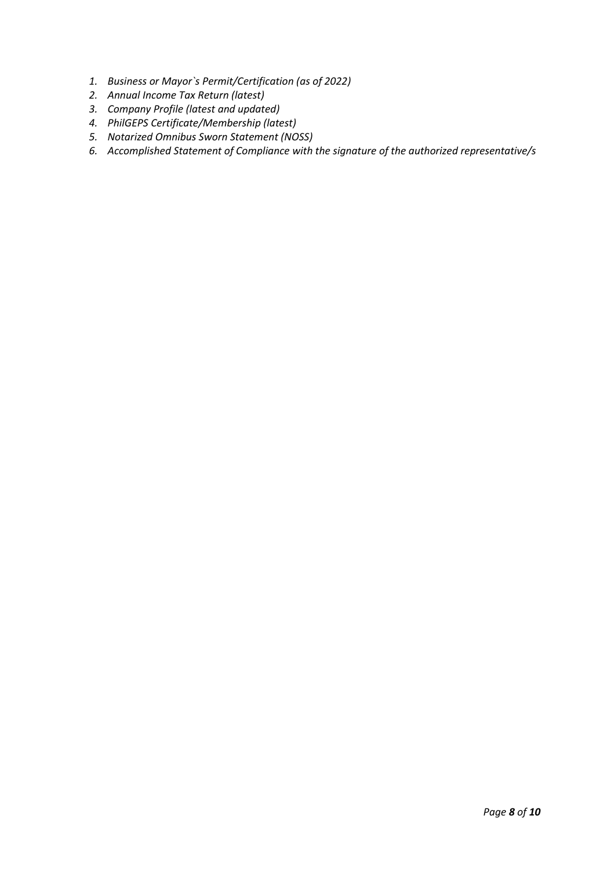- *1. Business or Mayor`s Permit/Certification (as of 2022)*
- *2. Annual Income Tax Return (latest)*
- *3. Company Profile (latest and updated)*
- *4. PhilGEPS Certificate/Membership (latest)*
- *5. Notarized Omnibus Sworn Statement (NOSS)*
- *6. Accomplished Statement of Compliance with the signature of the authorized representative/s*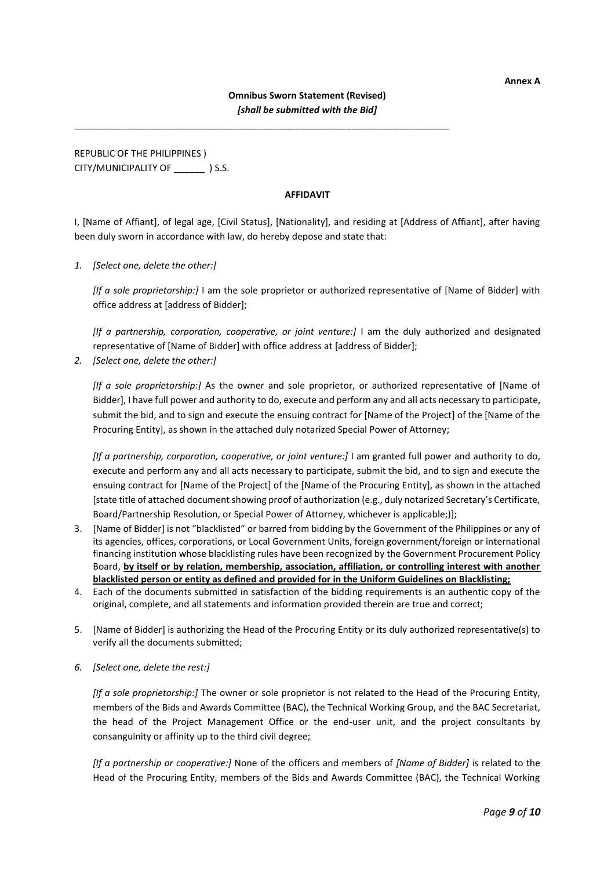\_\_\_\_\_\_\_\_\_\_\_\_\_\_\_\_\_\_\_\_\_\_\_\_\_\_\_\_\_\_\_\_\_\_\_\_\_\_\_\_\_\_\_\_\_\_\_\_\_\_\_\_\_\_\_\_\_\_\_\_\_\_\_\_\_\_\_\_\_\_\_\_\_

REPUBLIC OF THE PHILIPPINES ) CITY/MUNICIPALITY OF \_\_\_\_\_\_ ) S.S.

### **AFFIDAVIT**

I, [Name of Affiant], of legal age, [Civil Status], [Nationality], and residing at [Address of Affiant], after having been duly sworn in accordance with law, do hereby depose and state that:

*1. [Select one, delete the other:]*

*[If a sole proprietorship:]* I am the sole proprietor or authorized representative of [Name of Bidder] with office address at [address of Bidder];

*[If a partnership, corporation, cooperative, or joint venture:]* I am the duly authorized and designated representative of [Name of Bidder] with office address at [address of Bidder];

*2. [Select one, delete the other:]*

*[If a sole proprietorship:]* As the owner and sole proprietor, or authorized representative of [Name of Bidder], I have full power and authority to do, execute and perform any and all acts necessary to participate, submit the bid, and to sign and execute the ensuing contract for [Name of the Project] of the [Name of the Procuring Entity], as shown in the attached duly notarized Special Power of Attorney;

*[If a partnership, corporation, cooperative, or joint venture:]* I am granted full power and authority to do, execute and perform any and all acts necessary to participate, submit the bid, and to sign and execute the ensuing contract for [Name of the Project] of the [Name of the Procuring Entity], as shown in the attached [state title of attached document showing proof of authorization (e.g., duly notarized Secretary's Certificate, Board/Partnership Resolution, or Special Power of Attorney, whichever is applicable;)];

- 3. [Name of Bidder] is not "blacklisted" or barred from bidding by the Government of the Philippines or any of its agencies, offices, corporations, or Local Government Units, foreign government/foreign or international financing institution whose blacklisting rules have been recognized by the Government Procurement Policy Board, **by itself or by relation, membership, association, affiliation, or controlling interest with another blacklisted person or entity as defined and provided for in the Uniform Guidelines on Blacklisting;**
- 4. Each of the documents submitted in satisfaction of the bidding requirements is an authentic copy of the original, complete, and all statements and information provided therein are true and correct;
- 5. [Name of Bidder] is authorizing the Head of the Procuring Entity or its duly authorized representative(s) to verify all the documents submitted;
- *6. [Select one, delete the rest:]*

*[If a sole proprietorship:]* The owner or sole proprietor is not related to the Head of the Procuring Entity, members of the Bids and Awards Committee (BAC), the Technical Working Group, and the BAC Secretariat, the head of the Project Management Office or the end-user unit, and the project consultants by consanguinity or affinity up to the third civil degree;

*[If a partnership or cooperative:]* None of the officers and members of *[Name of Bidder]* is related to the Head of the Procuring Entity, members of the Bids and Awards Committee (BAC), the Technical Working